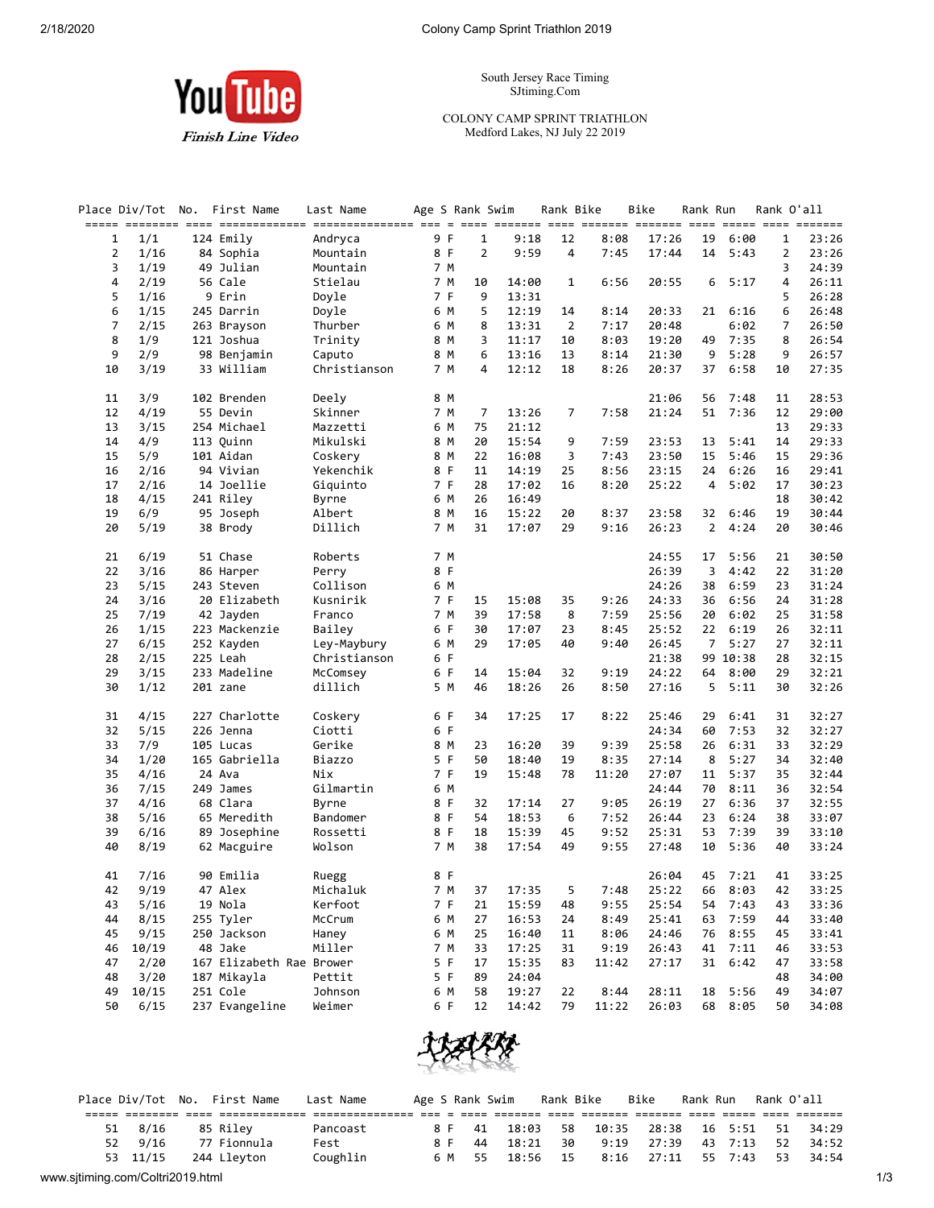**You** Tube

**Finish Line Video** 

South Jersey Race Timing SJtiming.Com

COLONY CAMP SPRINT TRIATHLON Medford Lakes, NJ July 22 2019

|                |              | Place Div/Tot No. First Name | Last Name    | Age S Rank Swim |              |                        | Rank Bike      |              | Bike           | Rank Run       |          | Rank O'all     |                |
|----------------|--------------|------------------------------|--------------|-----------------|--------------|------------------------|----------------|--------------|----------------|----------------|----------|----------------|----------------|
| 1              | 1/1          | 124 Emily                    | Andryca      | 9 F             | $\mathbf{1}$ | 9:18                   | 12             | 8:08         | 17:26          | 19             | 6:00     | 1              | 23:26          |
| $\overline{2}$ | 1/16         | 84 Sophia                    | Mountain     | 8 F             |              | $\overline{2}$<br>9:59 | 4              | 7:45         | 17:44          | 14             | 5:43     | 2              | 23:26          |
| 3              | 1/19         | 49 Julian                    | Mountain     | 7 M             |              |                        |                |              |                |                |          | 3              | 24:39          |
| 4              | 2/19         | 56 Cale                      | Stielau      | 7 M             | 10           | 14:00                  | $\mathbf{1}$   | 6:56         | 20:55          | 6              | 5:17     | 4              | 26:11          |
| 5              | 1/16         | 9 Erin                       | Doyle        | 7 F             | 9            | 13:31                  |                |              |                |                |          | 5              | 26:28          |
| 6              | 1/15         | 245 Darrin                   | Doyle        | 6 M             | 5            | 12:19                  | 14             | 8:14         | 20:33          | 21             | 6:16     | 6              | 26:48          |
| $\overline{7}$ | 2/15         | 263 Brayson                  | Thurber      | 6 M             | 8            | 13:31                  | $\overline{2}$ | 7:17         | 20:48          |                | 6:02     | $\overline{7}$ | 26:50          |
| 8              | 1/9          | 121 Joshua                   | Trinity      | 8 M             | 3            | 11:17                  | 10             | 8:03         | 19:20          | 49             | 7:35     | 8              | 26:54          |
| 9              | 2/9          | 98 Benjamin                  | Caputo       | 8 M             | 6            | 13:16                  | 13             | 8:14         | 21:30          | 9              | 5:28     | 9              | 26:57          |
| 10             | 3/19         | 33 William                   | Christianson | 7 M             | 4            | 12:12                  | 18             | 8:26         | 20:37          | 37             | 6:58     | 10             | 27:35          |
|                |              |                              |              |                 |              |                        |                |              |                |                |          |                |                |
| 11             | 3/9          | 102 Brenden                  | Deely        | 8 M             |              |                        |                |              | 21:06          | 56             | 7:48     | 11             | 28:53          |
| 12             | 4/19         | 55 Devin                     | Skinner      | 7 M             | 7            | 13:26                  | 7              | 7:58         | 21:24          | 51             | 7:36     | 12             | 29:00          |
| 13             | 3/15         | 254 Michael                  | Mazzetti     | 6 M             | 75           | 21:12                  |                |              |                |                |          | 13             | 29:33          |
| 14             | 4/9          | 113 Quinn                    | Mikulski     | 8 M             | 20           | 15:54                  | 9              | 7:59         | 23:53          | 13             | 5:41     | 14             | 29:33          |
| 15             | 5/9          | 101 Aidan                    | Coskery      | 8 M             | 22           | 16:08                  | 3              | 7:43         | 23:50          | 15             | 5:46     | 15             | 29:36          |
| 16             | 2/16         | 94 Vivian                    | Yekenchik    | 8 F             | 11           | 14:19                  | 25             | 8:56         | 23:15          | 24             | 6:26     | 16             | 29:41          |
| 17             | 2/16         | 14 Joellie                   | Giquinto     | 7 F             | 28           | 17:02                  | 16             | 8:20         | 25:22          | 4              | 5:02     | 17             | 30:23          |
| 18             | 4/15         | 241 Riley                    | Byrne        | 6 M             | 26           | 16:49                  |                |              |                |                |          | 18             | 30:42          |
| 19             | 6/9          | 95 Joseph                    | Albert       | 8 M             | 16           | 15:22                  | 20             | 8:37         | 23:58          | 32             | 6:46     | 19             | 30:44          |
| 20             | 5/19         | 38 Brody                     | Dillich      | 7 M             | 31           | 17:07                  | 29             | 9:16         | 26:23          | $\overline{2}$ | 4:24     | 20             | 30:46          |
| 21             | 6/19         | 51 Chase                     | Roberts      | 7 M             |              |                        |                |              | 24:55          | 17             | 5:56     | 21             | 30:50          |
| 22             | 3/16         | 86 Harper                    | Perry        | 8 F             |              |                        |                |              | 26:39          | 3              | 4:42     | 22             | 31:20          |
| 23             | 5/15         | 243 Steven                   | Collison     | 6 M             |              |                        |                |              | 24:26          | 38             | 6:59     | 23             | 31:24          |
| 24             | 3/16         | 20 Elizabeth                 | Kusnirik     | 7 F             | 15           | 15:08                  | 35             | 9:26         | 24:33          | 36             | 6:56     | 24             | 31:28          |
| 25             | 7/19         | 42 Jayden                    | Franco       | 7 M             | 39           | 17:58                  | 8              | 7:59         | 25:56          | 20             | 6:02     | 25             | 31:58          |
| 26             | 1/15         | 223 Mackenzie                | Bailey       | 6 F             | 30           | 17:07                  | 23             | 8:45         | 25:52          | 22             | 6:19     | 26             | 32:11          |
| 27             | 6/15         | 252 Kayden                   | Ley-Maybury  | 6 M             | 29           | 17:05                  | 40             | 9:40         | 26:45          | 7              | 5:27     | 27             | 32:11          |
| 28             | 2/15         | 225 Leah                     | Christianson | 6 F             |              |                        |                |              | 21:38          |                | 99 10:38 | 28             | 32:15          |
| 29             | 3/15         | 233 Madeline                 | McComsey     | 6 F             | 14           | 15:04                  | 32             | 9:19         | 24:22          | 64             | 8:00     | 29             | 32:21          |
| 30             | 1/12         | 201 zane                     | dillich      | 5 M             | 46           | 18:26                  | 26             | 8:50         | 27:16          | 5              | 5:11     | 30             | 32:26          |
| 31             | 4/15         | 227 Charlotte                | Coskery      | 6 F             | 34           | 17:25                  | 17             | 8:22         | 25:46          | 29             | 6:41     | 31             | 32:27          |
| 32             | 5/15         | 226 Jenna                    | Ciotti       | 6 F             |              |                        |                |              | 24:34          | 60             | 7:53     | 32             | 32:27          |
| 33             | 7/9          | 105 Lucas                    | Gerike       | 8 M             | 23           | 16:20                  | 39             | 9:39         | 25:58          | 26             | 6:31     | 33             | 32:29          |
| 34             | 1/20         | 165 Gabriella                | Biazzo       | 5 F             | 50           | 18:40                  | 19             | 8:35         | 27:14          | 8              | 5:27     | 34             | 32:40          |
| 35             | 4/16         | 24 Ava                       | Nix          | 7 F             | 19           | 15:48                  | 78             | 11:20        | 27:07          | 11             | 5:37     | 35             | 32:44          |
| 36             | 7/15         | 249 James                    | Gilmartin    | 6 M             |              |                        |                |              | 24:44          | 70             | 8:11     | 36             | 32:54          |
| 37             | 4/16         | 68 Clara                     | Byrne        | 8 F             | 32           | 17:14                  | 27             | 9:05         | 26:19          | 27             | 6:36     | 37             | 32:55          |
| 38             | 5/16         | 65 Meredith                  | Bandomer     | 8 F             | 54           | 18:53                  | 6              | 7:52         | 26:44          | 23             | 6:24     | 38             | 33:07          |
| 39             |              |                              | Rossetti     | 8 F             | 18           |                        | 45             |              |                | 53             | 7:39     | 39             |                |
| 40             | 6/16<br>8/19 | 89 Josephine<br>62 Macguire  | Wolson       | 7 M             | 38           | 15:39<br>17:54         | 49             | 9:52<br>9:55 | 25:31<br>27:48 | 10             | 5:36     | 40             | 33:10<br>33:24 |
|                |              |                              |              |                 |              |                        |                |              |                |                |          |                |                |
| 41             | 7/16         | 90 Emilia                    | Ruegg        | 8 F             |              |                        |                |              | 26:04          | 45             | 7:21     | 41             | 33:25          |
| 42             | 9/19         | 47 Alex                      | Michaluk     | 7 M             | 37           | 17:35                  | 5              | 7:48         | 25:22          | 66             | 8:03     | 42             | 33:25          |
| 43             | 5/16         | 19 Nola                      | Kerfoot      | 7 F             | 21           | 15:59                  | 48             | 9:55         | 25:54          | 54             | 7:43     | 43             | 33:36          |
| 44             | 8/15         | 255 Tyler                    | McCrum       | 6 M             | 27           | 16:53                  | 24             | 8:49         | 25:41          | 63             | 7:59     | 44             | 33:40          |
| 45             | 9/15         | 250 Jackson                  | Haney        | 6 M             | 25           | 16:40                  | 11             | 8:06         | 24:46          | 76             | 8:55     | 45             | 33:41          |
| 46             | 10/19        | 48 Jake                      | Miller       | 7 M             | 33           | 17:25                  | 31             | 9:19         | 26:43          | 41             | 7:11     | 46             | 33:53          |
| 47             | 2/20         | 167 Elizabeth Rae Brower     |              | 5 F             | 17           | 15:35                  | 83             | 11:42        | 27:17          |                | 31 6:42  | 47             | 33:58          |
| 48             | 3/20         | 187 Mikayla                  | Pettit       | 5 F             | 89           | 24:04                  |                |              |                |                |          | 48             | 34:00          |
| 49             | 10/15        | 251 Cole                     | Johnson      | 6 M             | 58           | 19:27                  | 22             | 8:44         | 28:11          |                | 18 5:56  | 49             | 34:07          |
| 50             | 6/15         | 237 Evangeline               | Weimer       | 6 F             | 12           | 14:42                  | 79             | 11:22        | 26:03          |                | 68 8:05  | 50             | 34:08          |



|                                  |      | Place Div/Tot No. First Name | Last Name |     |      | Age S Rank Swim    Rank Bike    Bike |      |                                        | Rank Run - Rank O'all |       |
|----------------------------------|------|------------------------------|-----------|-----|------|--------------------------------------|------|----------------------------------------|-----------------------|-------|
|                                  |      |                              |           |     |      |                                      |      |                                        |                       |       |
| 51                               | 8/16 | 85 Riley                     | Pancoast  |     |      |                                      |      | 8 F 41 18:03 58 10:35 28:38 16 5:51 51 |                       | 34:29 |
| 52                               | 9/16 | 77 Fionnula                  | Fest      | 8 F | - 44 | 18:21                                | - 30 | 9:19 27:39 43 7:13 52                  |                       | 34:52 |
|                                  |      | 53 11/15 244 Lleyton         | Coughlin  |     |      | 6 M 55 18:56 15                      |      | 8:16 27:11 55 7:43 53                  |                       | 34:54 |
| www.sjtiming.com/Coltri2019.html |      |                              |           |     |      |                                      |      |                                        |                       |       |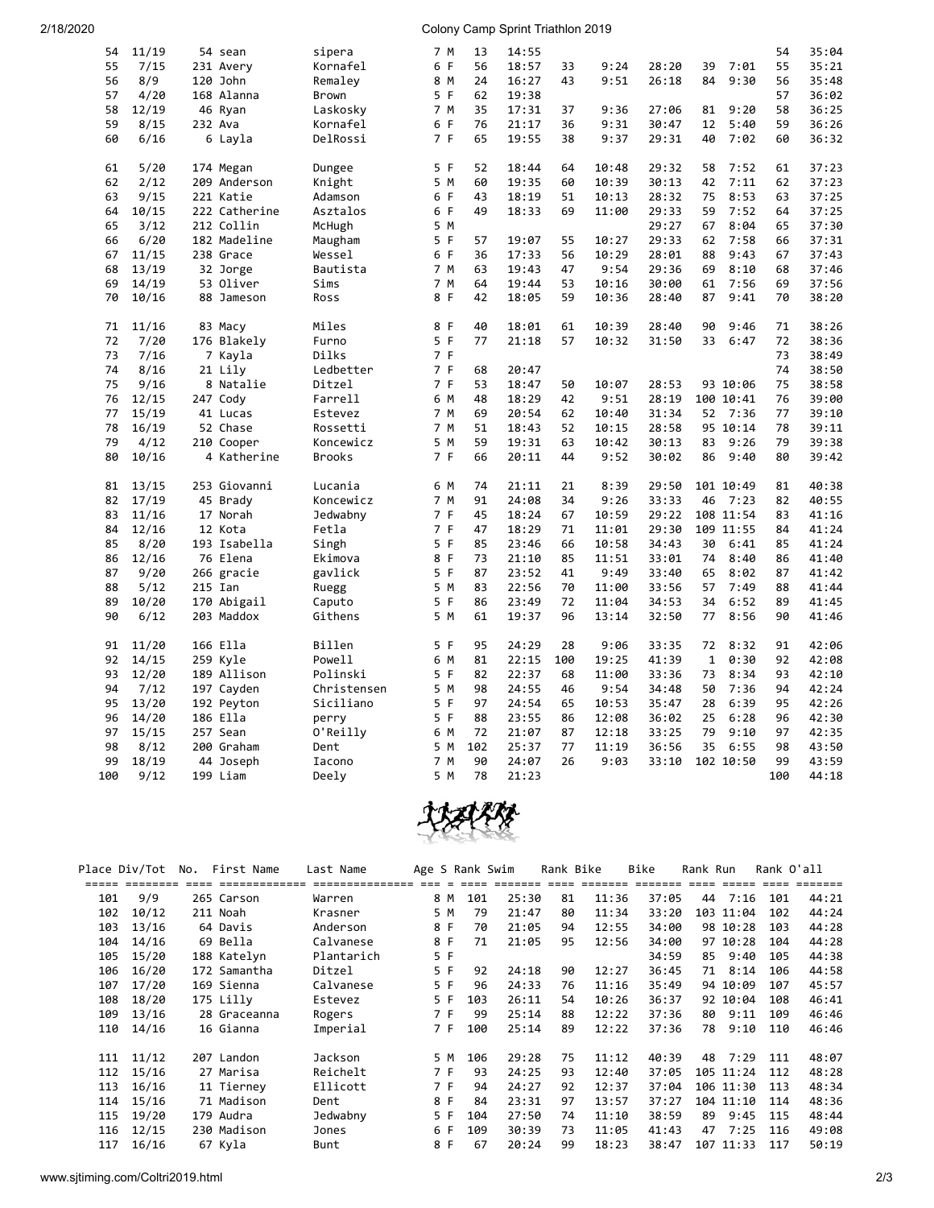## 2/18/2020 Colony Camp Sprint Triathlon 2019

| 54  | 11/19 | 54 sean       | sipera        | 7 M | 13  | 14:55 |          |       |       |              |           | 54       | 35:04          |
|-----|-------|---------------|---------------|-----|-----|-------|----------|-------|-------|--------------|-----------|----------|----------------|
| 55  | 7/15  | 231 Avery     | Kornafel      | 6 F | 56  | 18:57 | 33       | 9:24  | 28:20 | 39           | 7:01      | 55       | 35:21          |
| 56  | 8/9   | 120 John      | Remaley       | 8 M | 24  | 16:27 | 43       | 9:51  | 26:18 | 84           | 9:30      | 56       | 35:48          |
| 57  | 4/20  | 168 Alanna    | <b>Brown</b>  | 5 F | 62  | 19:38 |          |       |       |              |           | 57       | 36:02          |
| 58  | 12/19 | 46 Ryan       | Laskosky      | 7 M | 35  | 17:31 | 37       | 9:36  | 27:06 | 81           | 9:20      | 58       | 36:25          |
| 59  | 8/15  | 232 Ava       | Kornafel      | 6 F | 76  | 21:17 | 36       | 9:31  | 30:47 | 12           | 5:40      | 59       | 36:26          |
| 60  | 6/16  | 6 Layla       | DelRossi      | 7 F | 65  | 19:55 | 38       | 9:37  | 29:31 | 40           | 7:02      | 60       | 36:32          |
|     |       |               |               |     |     |       |          |       |       |              |           |          |                |
| 61  | 5/20  | 174 Megan     | Dungee        | 5 F | 52  | 18:44 | 64       | 10:48 | 29:32 | 58           | 7:52      | 61       | 37:23          |
| 62  | 2/12  | 209 Anderson  | Knight        | 5 M | 60  | 19:35 | 60       | 10:39 | 30:13 | 42           | 7:11      | 62       | 37:23          |
| 63  | 9/15  | 221 Katie     | Adamson       | 6 F | 43  | 18:19 | 51       | 10:13 | 28:32 | 75           | 8:53      | 63       | 37:25          |
| 64  | 10/15 | 222 Catherine | Asztalos      | 6 F | 49  | 18:33 | 69       | 11:00 | 29:33 | 59           | 7:52      | 64       | 37:25          |
| 65  | 3/12  | 212 Collin    | McHugh        | 5 M |     |       |          |       | 29:27 | 67           | 8:04      | 65       | 37:30          |
| 66  | 6/20  | 182 Madeline  | Maugham       | 5 F | 57  | 19:07 | 55       | 10:27 | 29:33 | 62           | 7:58      | 66       | 37:31          |
| 67  | 11/15 | 238 Grace     | Wessel        | 6 F | 36  | 17:33 | 56       | 10:29 | 28:01 | 88           | 9:43      | 67       | 37:43          |
| 68  | 13/19 | 32 Jorge      | Bautista      | 7 M | 63  | 19:43 | 47       | 9:54  | 29:36 | 69           | 8:10      | 68       | 37:46          |
|     | 14/19 |               | Sims          | 7 M | 64  | 19:44 | 53       | 10:16 | 30:00 |              | 7:56      | 69       | 37:56          |
| 69  |       | 53 Oliver     |               |     |     |       |          |       |       | 61           |           |          |                |
| 70  | 10/16 | 88 Jameson    | Ross          | 8 F | 42  | 18:05 | 59       | 10:36 | 28:40 | 87           | 9:41      | 70       | 38:20          |
|     |       |               |               | 8 F | 40  |       |          |       |       | 90           | 9:46      |          |                |
| 71  | 11/16 | 83 Macy       | Miles         | 5 F | 77  | 18:01 | 61<br>57 | 10:39 | 28:40 |              |           | 71<br>72 | 38:26<br>38:36 |
| 72  | 7/20  | 176 Blakely   | Furno         |     |     | 21:18 |          | 10:32 | 31:50 | 33           | 6:47      |          |                |
| 73  | 7/16  | 7 Kayla       | Dilks         | 7 F |     |       |          |       |       |              |           | 73       | 38:49          |
| 74  | 8/16  | 21 Lily       | Ledbetter     | 7 F | 68  | 20:47 |          |       |       |              |           | 74       | 38:50          |
| 75  | 9/16  | 8 Natalie     | Ditzel        | 7 F | 53  | 18:47 | 50       | 10:07 | 28:53 |              | 93 10:06  | 75       | 38:58          |
| 76  | 12/15 | 247 Cody      | Farrell       | 6 M | 48  | 18:29 | 42       | 9:51  | 28:19 |              | 100 10:41 | 76       | 39:00          |
| 77  | 15/19 | 41 Lucas      | Estevez       | 7 M | 69  | 20:54 | 62       | 10:40 | 31:34 | 52           | 7:36      | 77       | 39:10          |
| 78  | 16/19 | 52 Chase      | Rossetti      | 7 M | 51  | 18:43 | 52       | 10:15 | 28:58 |              | 95 10:14  | 78       | 39:11          |
| 79  | 4/12  | 210 Cooper    | Koncewicz     | 5 M | 59  | 19:31 | 63       | 10:42 | 30:13 | 83           | 9:26      | 79       | 39:38          |
| 80  | 10/16 | 4 Katherine   | <b>Brooks</b> | 7 F | 66  | 20:11 | 44       | 9:52  | 30:02 | 86           | 9:40      | 80       | 39:42          |
|     |       |               |               |     |     |       |          |       |       |              |           |          |                |
| 81  | 13/15 | 253 Giovanni  | Lucania       | 6 M | 74  | 21:11 | 21       | 8:39  | 29:50 |              | 101 10:49 | 81       | 40:38          |
| 82  | 17/19 | 45 Brady      | Koncewicz     | 7 M | 91  | 24:08 | 34       | 9:26  | 33:33 | 46           | 7:23      | 82       | 40:55          |
| 83  | 11/16 | 17 Norah      | Jedwabny      | 7 F | 45  | 18:24 | 67       | 10:59 | 29:22 |              | 108 11:54 | 83       | 41:16          |
| 84  | 12/16 | 12 Kota       | Fetla         | 7 F | 47  | 18:29 | 71       | 11:01 | 29:30 |              | 109 11:55 | 84       | 41:24          |
| 85  | 8/20  | 193 Isabella  | Singh         | 5 F | 85  | 23:46 | 66       | 10:58 | 34:43 | 30           | 6:41      | 85       | 41:24          |
| 86  | 12/16 | 76 Elena      | Ekimova       | 8 F | 73  | 21:10 | 85       | 11:51 | 33:01 | 74           | 8:40      | 86       | 41:40          |
| 87  | 9/20  | 266 gracie    | gavlick       | 5 F | 87  | 23:52 | 41       | 9:49  | 33:40 | 65           | 8:02      | 87       | 41:42          |
| 88  | 5/12  | 215 Ian       | Ruegg         | 5 M | 83  | 22:56 | 70       | 11:00 | 33:56 | 57           | 7:49      | 88       | 41:44          |
| 89  | 10/20 | 170 Abigail   | Caputo        | 5 F | 86  | 23:49 | 72       | 11:04 | 34:53 | 34           | 6:52      | 89       | 41:45          |
| 90  | 6/12  | 203 Maddox    | Githens       | 5 M | 61  | 19:37 | 96       | 13:14 | 32:50 | 77           | 8:56      | 90       | 41:46          |
| 91  | 11/20 | 166 Ella      | Billen        | 5 F | 95  | 24:29 | 28       | 9:06  | 33:35 | 72           | 8:32      | 91       | 42:06          |
| 92  | 14/15 | 259 Kyle      | Powell        | 6 M | 81  | 22:15 | 100      | 19:25 | 41:39 | $\mathbf{1}$ | 0:30      | 92       | 42:08          |
| 93  | 12/20 | 189 Allison   | Polinski      | 5 F | 82  | 22:37 | 68       | 11:00 | 33:36 | 73           | 8:34      | 93       | 42:10          |
| 94  | 7/12  | 197 Cayden    | Christensen   | 5 M | 98  | 24:55 | 46       | 9:54  | 34:48 | 50           | 7:36      | 94       | 42:24          |
| 95  | 13/20 | 192 Peyton    | Siciliano     | 5F  | 97  | 24:54 | 65       | 10:53 | 35:47 | 28           | 6:39      | 95       | 42:26          |
| 96  | 14/20 | 186 Ella      | perry         | 5 F | 88  | 23:55 | 86       | 12:08 | 36:02 | 25           | 6:28      | 96       | 42:30          |
| 97  | 15/15 | 257 Sean      | O'Reilly      | 6 M | 72  | 21:07 | 87       | 12:18 | 33:25 | 79           | 9:10      | 97       | 42:35          |
| 98  | 8/12  | 200 Graham    | Dent          | 5 M | 102 | 25:37 | 77       | 11:19 | 36:56 | 35           | 6:55      | 98       | 43:50          |
| 99  | 18/19 | 44 Joseph     | Iacono        | 7 M | 90  | 24:07 | 26       | 9:03  | 33:10 |              | 102 10:50 | 99       | 43:59          |
| 100 | 9/12  | 199 Liam      | Deely         | 5 M | 78  | 21:23 |          |       |       |              |           | 100      | 44:18          |
|     |       |               |               |     |     |       |          |       |       |              |           |          |                |



|     | Place Div/Tot<br>===== ======== | No. | First Name<br>esse essessessesse | Last Name<br>essessessessess ses s |     |     | Age S Rank Swim | eese eessess | Rank Bike<br>$=$ $=$ $=$ $=$ $=$ |       | Bike<br>======= | Rank Run | $=$ $=$ $=$ $=$ $=$ | Rank O'all<br>$====$ |       |
|-----|---------------------------------|-----|----------------------------------|------------------------------------|-----|-----|-----------------|--------------|----------------------------------|-------|-----------------|----------|---------------------|----------------------|-------|
| 101 | 9/9                             |     | 265 Carson                       | Warren                             | 8 M |     | 101             | 25:30        | 81                               | 11:36 | 37:05           | 44       | 7:16                | 101                  | 44:21 |
| 102 | 10/12                           |     | 211 Noah                         | Krasner                            | 5 M |     | 79              | 21:47        | 80                               | 11:34 | 33:20           |          | 103 11:04           | 102                  | 44:24 |
| 103 | 13/16                           |     | 64 Davis                         | Anderson                           | 8 F |     | 70              | 21:05        | 94                               | 12:55 | 34:00           |          | 98 10:28            | 103                  | 44:28 |
| 104 | 14/16                           |     | 69 Bella                         | Calvanese                          | 8 F |     | 71              | 21:05        | 95                               | 12:56 | 34:00           |          | 97 10:28            | 104                  | 44:28 |
| 105 | 15/20                           |     | 188 Katelyn                      | Plantarich                         | 5 F |     |                 |              |                                  |       | 34:59           | 85       | 9:40                | 105                  | 44:38 |
| 106 | 16/20                           |     | 172 Samantha                     | Ditzel                             | 5 F |     | 92              | 24:18        | 90                               | 12:27 | 36:45           | 71       | 8:14                | 106                  | 44:58 |
| 107 | 17/20                           |     | 169 Sienna                       | Calvanese                          | 5 F |     | 96              | 24:33        | 76                               | 11:16 | 35:49           |          | 94 10:09            | 107                  | 45:57 |
| 108 | 18/20                           |     | 175 Lilly                        | Estevez                            | 5 F |     | 103             | 26:11        | 54                               | 10:26 | 36:37           |          | 92 10:04            | 108                  | 46:41 |
| 109 | 13/16                           |     | 28 Graceanna                     | Rogers                             | 7 F |     | 99              | 25:14        | 88                               | 12:22 | 37:36           | 80       | 9:11                | 109                  | 46:46 |
| 110 | 14/16                           |     | 16 Gianna                        | Imperial                           | 7 F |     | 100             | 25:14        | 89                               | 12:22 | 37:36           | 78       | 9:10                | 110                  | 46:46 |
| 111 | 11/12                           |     | 207 Landon                       | <b>Jackson</b>                     |     | 5 M | 106             | 29:28        | 75                               | 11:12 | 40:39           | 48       | 7:29                | 111                  | 48:07 |
| 112 | 15/16                           |     | 27 Marisa                        | Reichelt                           | 7 F |     | 93              | 24:25        | 93                               | 12:40 | 37:05           |          | 105 11:24           | 112                  | 48:28 |
| 113 | 16/16                           |     | 11 Tierney                       | Ellicott                           | 7 F |     | 94              | 24:27        | 92                               | 12:37 | 37:04           |          | 106 11:30           | 113                  | 48:34 |
| 114 | 15/16                           |     | 71 Madison                       | Dent                               | 8 F |     | 84              | 23:31        | 97                               | 13:57 | 37:27           |          | 104 11:10           | 114                  | 48:36 |
| 115 | 19/20                           |     | 179 Audra                        | Jedwabny                           | 5 F |     | 104             | 27:50        | 74                               | 11:10 | 38:59           | 89       | 9:45                | 115                  | 48:44 |
| 116 | 12/15                           |     | 230 Madison                      | Jones                              | 6 F |     | 109             | 30:39        | 73                               | 11:05 | 41:43           | 47       | 7:25                | 116                  | 49:08 |
| 117 | 16/16                           |     | 67 Kyla                          | Bunt                               | 8 F |     | 67              | 20:24        | 99                               | 18:23 | 38:47           |          | 107 11:33           | 117                  | 50:19 |